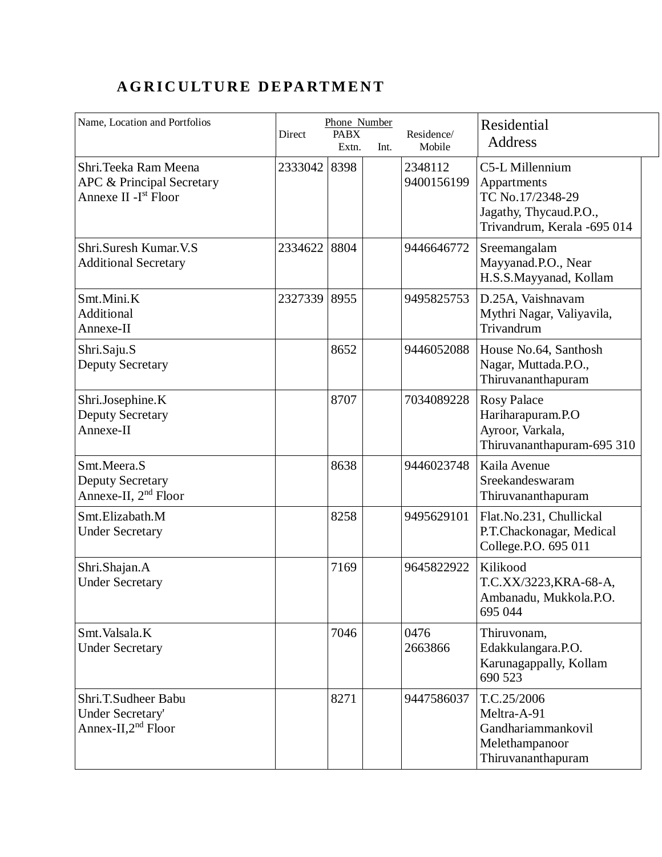## **A G R I C U LT U R E D E PA RT M E N T**

| Name, Location and Portfolios                                                           |         | Phone Number         |      |                       | Residential                                                                                                 |
|-----------------------------------------------------------------------------------------|---------|----------------------|------|-----------------------|-------------------------------------------------------------------------------------------------------------|
|                                                                                         | Direct  | <b>PABX</b><br>Extn. | Int. | Residence/<br>Mobile  | <b>Address</b>                                                                                              |
| Shri. Teeka Ram Meena<br>APC & Principal Secretary<br>Annexe II - I <sup>st</sup> Floor | 2333042 | 8398                 |      | 2348112<br>9400156199 | C5-L Millennium<br>Appartments<br>TC No.17/2348-29<br>Jagathy, Thycaud.P.O.,<br>Trivandrum, Kerala -695 014 |
| Shri.Suresh Kumar.V.S<br><b>Additional Secretary</b>                                    | 2334622 | 8804                 |      | 9446646772            | Sreemangalam<br>Mayyanad.P.O., Near<br>H.S.S.Mayyanad, Kollam                                               |
| Smt.Mini.K<br>Additional<br>Annexe-II                                                   | 2327339 | 8955                 |      | 9495825753            | D.25A, Vaishnavam<br>Mythri Nagar, Valiyavila,<br>Trivandrum                                                |
| Shri.Saju.S<br><b>Deputy Secretary</b>                                                  |         | 8652                 |      | 9446052088            | House No.64, Santhosh<br>Nagar, Muttada.P.O.,<br>Thiruvananthapuram                                         |
| Shri.Josephine.K<br><b>Deputy Secretary</b><br>Annexe-II                                |         | 8707                 |      | 7034089228            | <b>Rosy Palace</b><br>Hariharapuram.P.O<br>Ayroor, Varkala,<br>Thiruvananthapuram-695 310                   |
| Smt.Meera.S<br><b>Deputy Secretary</b><br>Annexe-II, 2 <sup>nd</sup> Floor              |         | 8638                 |      | 9446023748            | Kaila Avenue<br>Sreekandeswaram<br>Thiruvananthapuram                                                       |
| Smt.Elizabath.M<br><b>Under Secretary</b>                                               |         | 8258                 |      | 9495629101            | Flat.No.231, Chullickal<br>P.T.Chackonagar, Medical<br>College.P.O. 695 011                                 |
| Shri.Shajan.A<br><b>Under Secretary</b>                                                 |         | 7169                 |      | 9645822922            | Kilikood<br>T.C.XX/3223, KRA-68-A,<br>Ambanadu, Mukkola.P.O.<br>695 044                                     |
| Smt. Valsala. K<br><b>Under Secretary</b>                                               |         | 7046                 |      | 0476<br>2663866       | Thiruvonam,<br>Edakkulangara.P.O.<br>Karunagappally, Kollam<br>690 523                                      |
| Shri.T.Sudheer Babu<br>Under Secretary'<br>Annex-II, $2nd$ Floor                        |         | 8271                 |      | 9447586037            | T.C.25/2006<br>Meltra-A-91<br>Gandhariammankovil<br>Melethampanoor<br>Thiruvananthapuram                    |